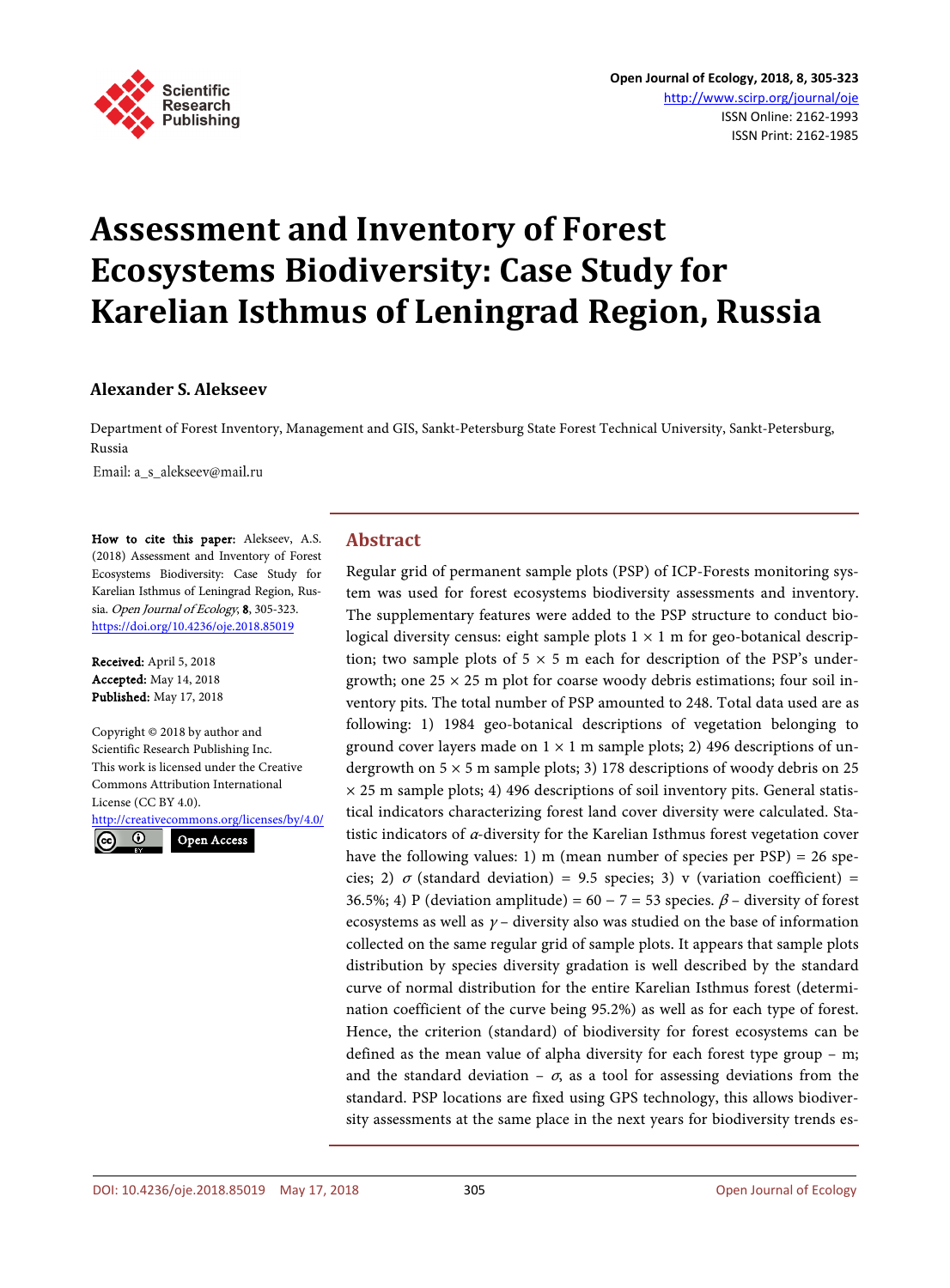

# **Assessment and Inventory of Forest Ecosystems Biodiversity: Case Study for Karelian Isthmus of Leningrad Region, Russia**

# **Alexander S. Alekseev**

Department of Forest Inventory, Management and GIS, Sankt-Petersburg State Forest Technical University, Sankt-Petersburg, Russia

Email: a\_s\_alekseev@mail.ru

How to cite this paper: Alekseev, A.S. (2018) Assessment and Inventory of Forest Ecosystems Biodiversity: Case Study for Karelian Isthmus of Leningrad Region, Russia. Open Journal of Ecology, 8, 305-323. <https://doi.org/10.4236/oje.2018.85019>

Received: April 5, 2018 Accepted: May 14, 2018 Published: May 17, 2018

Copyright © 2018 by author and Scientific Research Publishing Inc. This work is licensed under the Creative Commons Attribution International License (CC BY 4.0).

<http://creativecommons.org/licenses/by/4.0/>



Open Access

# **Abstract**

Regular grid of permanent sample plots (PSP) of ICP-Forests monitoring system was used for forest ecosystems biodiversity assessments and inventory. The supplementary features were added to the PSP structure to conduct biological diversity census: eight sample plots  $1 \times 1$  m for geo-botanical description; two sample plots of  $5 \times 5$  m each for description of the PSP's undergrowth; one  $25 \times 25$  m plot for coarse woody debris estimations; four soil inventory pits. The total number of PSP amounted to 248. Total data used are as following: 1) 1984 geo-botanical descriptions of vegetation belonging to ground cover layers made on  $1 \times 1$  m sample plots; 2) 496 descriptions of undergrowth on  $5 \times 5$  m sample plots; 3) 178 descriptions of woody debris on 25  $\times$  25 m sample plots; 4) 496 descriptions of soil inventory pits. General statistical indicators characterizing forest land cover diversity were calculated. Statistic indicators of α-diversity for the Karelian Isthmus forest vegetation cover have the following values: 1) m (mean number of species per PSP) = 26 species; 2)  $\sigma$  (standard deviation) = 9.5 species; 3) v (variation coefficient) = 36.5%; 4) P (deviation amplitude) =  $60 - 7 = 53$  species.  $\beta$  – diversity of forest ecosystems as well as  $\gamma$  – diversity also was studied on the base of information collected on the same regular grid of sample plots. It appears that sample plots distribution by species diversity gradation is well described by the standard curve of normal distribution for the entire Karelian Isthmus forest (determination coefficient of the curve being 95.2%) as well as for each type of forest. Hence, the criterion (standard) of biodiversity for forest ecosystems can be defined as the mean value of alpha diversity for each forest type group – m; and the standard deviation –  $\sigma$ , as a tool for assessing deviations from the standard. PSP locations are fixed using GPS technology, this allows biodiversity assessments at the same place in the next years for biodiversity trends es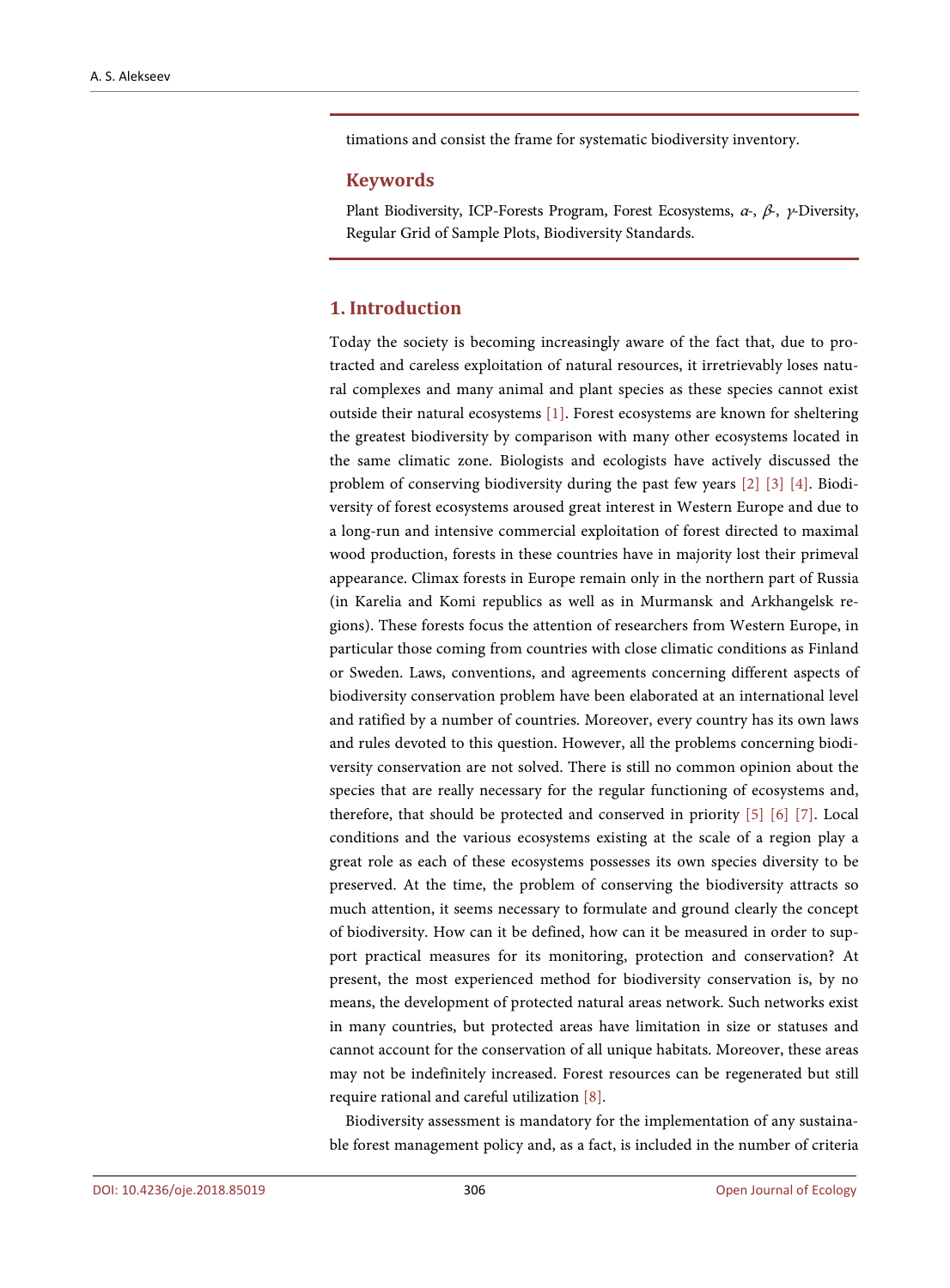timations and consist the frame for systematic biodiversity inventory.

#### **Keywords**

Plant Biodiversity, ICP-Forests Program, Forest Ecosystems,  $\alpha$ -,  $\beta$ -,  $\gamma$ -Diversity, Regular Grid of Sample Plots, Biodiversity Standards.

#### **1. Introduction**

Today the society is becoming increasingly aware of the fact that, due to protracted and careless exploitation of natural resources, it irretrievably loses natural complexes and many animal and plant species as these species cannot exist outside their natural ecosystems [\[1\].](#page-16-0) Forest ecosystems are known for sheltering the greatest biodiversity by comparison with many other ecosystems located in the same climatic zone. Biologists and ecologists have actively discussed the problem of conserving biodiversity during the past few years [\[2\]](#page-17-0) [\[3\]](#page-17-1) [\[4\].](#page-17-2) Biodiversity of forest ecosystems aroused great interest in Western Europe and due to a long-run and intensive commercial exploitation of forest directed to maximal wood production, forests in these countries have in majority lost their primeval appearance. Climax forests in Europe remain only in the northern part of Russia (in Karelia and Komi republics as well as in Murmansk and Arkhangelsk regions). These forests focus the attention of researchers from Western Europe, in particular those coming from countries with close climatic conditions as Finland or Sweden. Laws, conventions, and agreements concerning different aspects of biodiversity conservation problem have been elaborated at an international level and ratified by a number of countries. Moreover, every country has its own laws and rules devoted to this question. However, all the problems concerning biodiversity conservation are not solved. There is still no common opinion about the species that are really necessary for the regular functioning of ecosystems and, therefore, that should be protected and conserved in priority [\[5\]](#page-17-3) [\[6\]](#page-17-4) [\[7\].](#page-17-5) Local conditions and the various ecosystems existing at the scale of a region play a great role as each of these ecosystems possesses its own species diversity to be preserved. At the time, the problem of conserving the biodiversity attracts so much attention, it seems necessary to formulate and ground clearly the concept of biodiversity. How can it be defined, how can it be measured in order to support practical measures for its monitoring, protection and conservation? At present, the most experienced method for biodiversity conservation is, by no means, the development of protected natural areas network. Such networks exist in many countries, but protected areas have limitation in size or statuses and cannot account for the conservation of all unique habitats. Moreover, these areas may not be indefinitely increased. Forest resources can be regenerated but still require rational and careful utilization [\[8\].](#page-17-6)

Biodiversity assessment is mandatory for the implementation of any sustainable forest management policy and, as a fact, is included in the number of criteria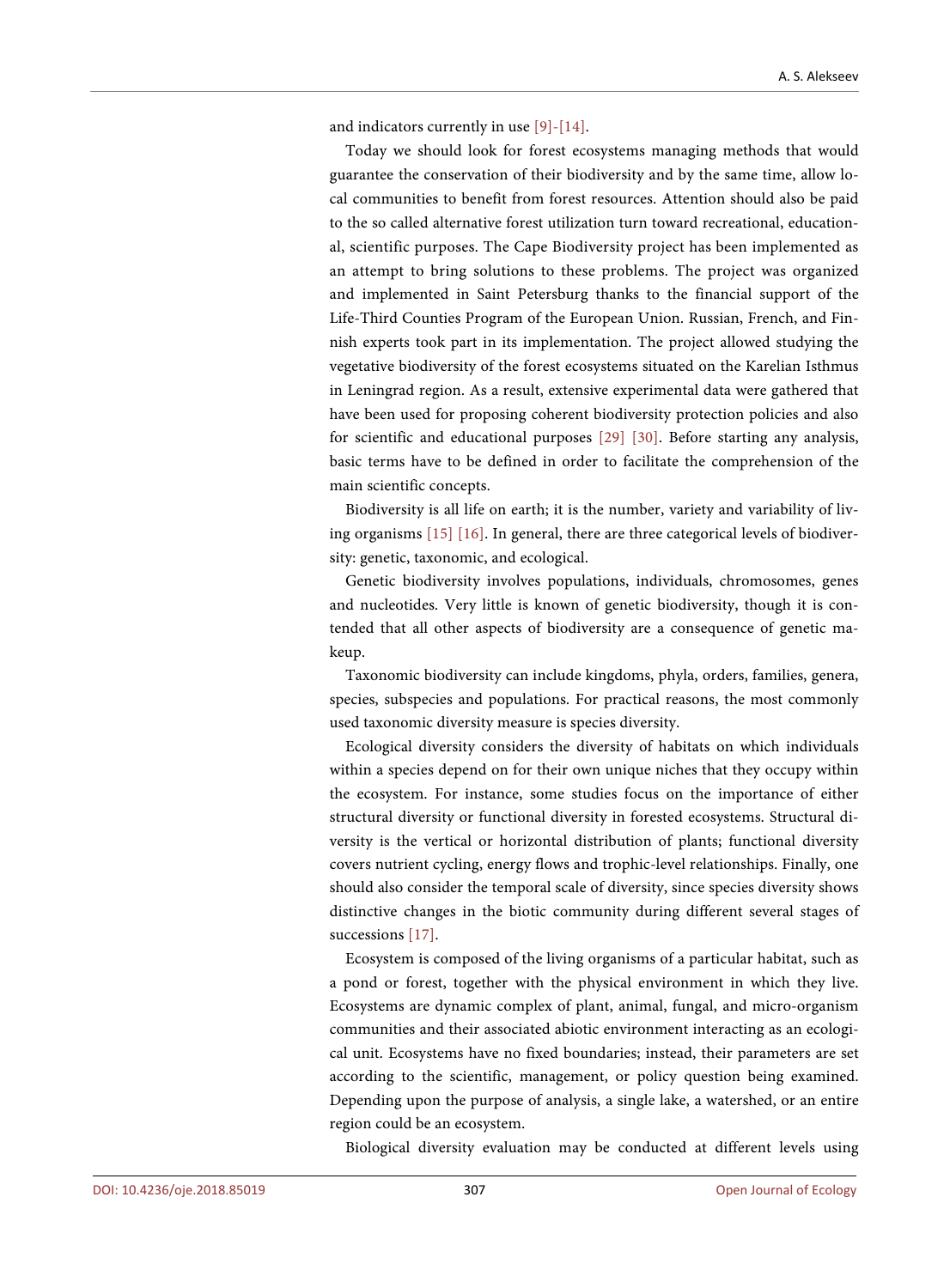and indicators currently in use [\[9\]-](#page-17-7)[\[14\].](#page-17-8)

Today we should look for forest ecosystems managing methods that would guarantee the conservation of their biodiversity and by the same time, allow local communities to benefit from forest resources. Attention should also be paid to the so called alternative forest utilization turn toward recreational, educational, scientific purposes. The Cape Biodiversity project has been implemented as an attempt to bring solutions to these problems. The project was organized and implemented in Saint Petersburg thanks to the financial support of the Life-Third Counties Program of the European Union. Russian, French, and Finnish experts took part in its implementation. The project allowed studying the vegetative biodiversity of the forest ecosystems situated on the Karelian Isthmus in Leningrad region. As a result, extensive experimental data were gathered that have been used for proposing coherent biodiversity protection policies and also for scientific and educational purposes [\[29\]](#page-18-0) [\[30\].](#page-18-1) Before starting any analysis, basic terms have to be defined in order to facilitate the comprehension of the main scientific concepts.

Biodiversity is all life on earth; it is the number, variety and variability of living organisms [\[15\]](#page-17-9) [\[16\].](#page-17-10) In general, there are three categorical levels of biodiversity: genetic, taxonomic, and ecological.

Genetic biodiversity involves populations, individuals, chromosomes, genes and nucleotides. Very little is known of genetic biodiversity, though it is contended that all other aspects of biodiversity are a consequence of genetic makeup.

Taxonomic biodiversity can include kingdoms, phyla, orders, families, genera, species, subspecies and populations. For practical reasons, the most commonly used taxonomic diversity measure is species diversity.

Ecological diversity considers the diversity of habitats on which individuals within a species depend on for their own unique niches that they occupy within the ecosystem. For instance, some studies focus on the importance of either structural diversity or functional diversity in forested ecosystems. Structural diversity is the vertical or horizontal distribution of plants; functional diversity covers nutrient cycling, energy flows and trophic-level relationships. Finally, one should also consider the temporal scale of diversity, since species diversity shows distinctive changes in the biotic community during different several stages of successions [\[17\].](#page-17-11)

Ecosystem is composed of the living organisms of a particular habitat, such as a pond or forest, together with the physical environment in which they live. Ecosystems are dynamic complex of plant, animal, fungal, and micro-organism communities and their associated abiotic environment interacting as an ecological unit. Ecosystems have no fixed boundaries; instead, their parameters are set according to the scientific, management, or policy question being examined. Depending upon the purpose of analysis, a single lake, a watershed, or an entire region could be an ecosystem.

Biological diversity evaluation may be conducted at different levels using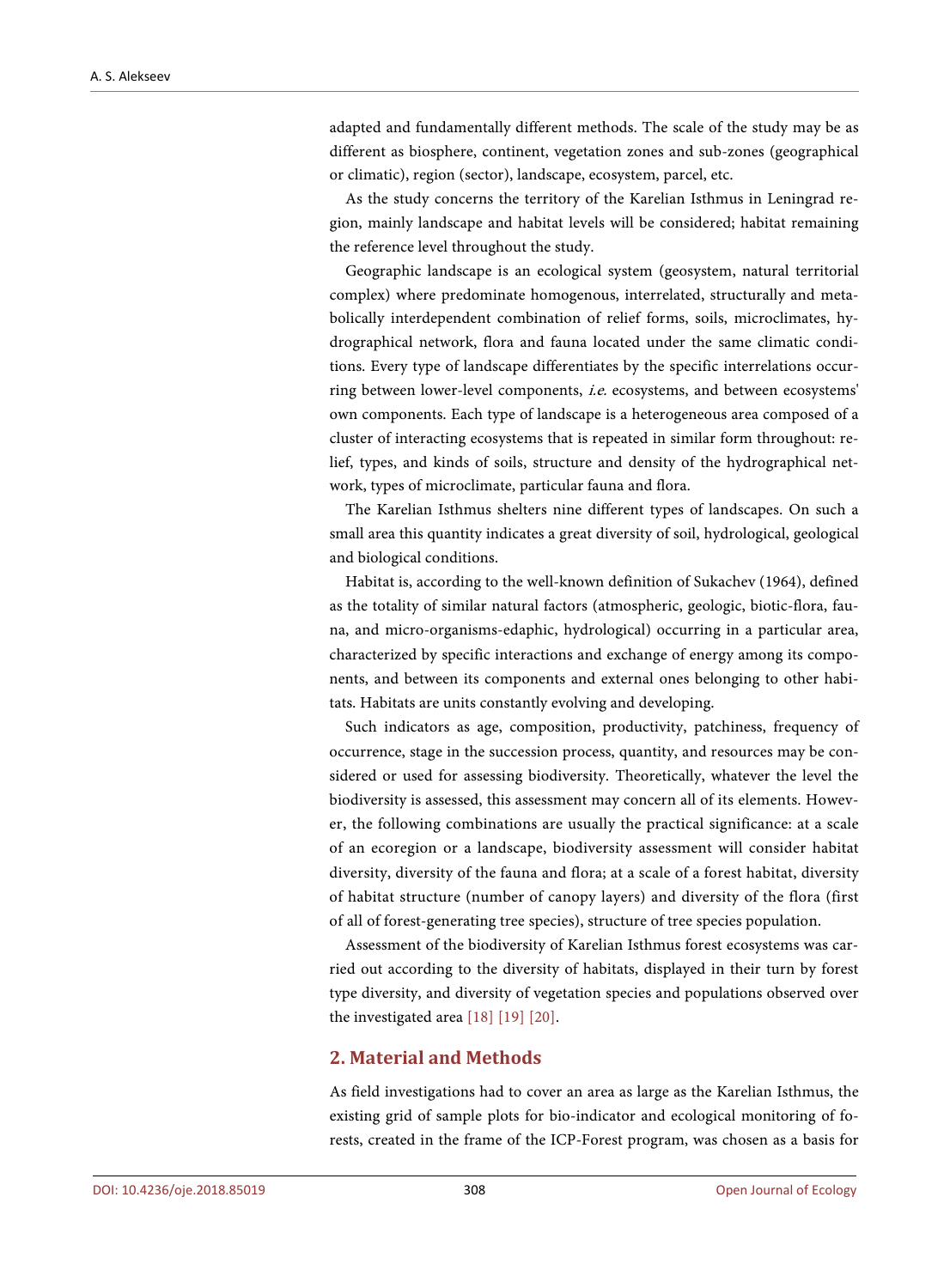adapted and fundamentally different methods. The scale of the study may be as different as biosphere, continent, vegetation zones and sub-zones (geographical or climatic), region (sector), landscape, ecosystem, parcel, etc.

As the study concerns the territory of the Karelian Isthmus in Leningrad region, mainly landscape and habitat levels will be considered; habitat remaining the reference level throughout the study.

Geographic landscape is an ecological system (geosystem, natural territorial complex) where predominate homogenous, interrelated, structurally and metabolically interdependent combination of relief forms, soils, microclimates, hydrographical network, flora and fauna located under the same climatic conditions. Every type of landscape differentiates by the specific interrelations occurring between lower-level components, i.e. ecosystems, and between ecosystems' own components. Each type of landscape is a heterogeneous area composed of a cluster of interacting ecosystems that is repeated in similar form throughout: relief, types, and kinds of soils, structure and density of the hydrographical network, types of microclimate, particular fauna and flora.

The Karelian Isthmus shelters nine different types of landscapes. On such a small area this quantity indicates a great diversity of soil, hydrological, geological and biological conditions.

Habitat is, according to the well-known definition of Sukachev (1964), defined as the totality of similar natural factors (atmospheric, geologic, biotic-flora, fauna, and micro-organisms-edaphic, hydrological) occurring in a particular area, characterized by specific interactions and exchange of energy among its components, and between its components and external ones belonging to other habitats. Habitats are units constantly evolving and developing.

Such indicators as age, composition, productivity, patchiness, frequency of occurrence, stage in the succession process, quantity, and resources may be considered or used for assessing biodiversity. Theoretically, whatever the level the biodiversity is assessed, this assessment may concern all of its elements. However, the following combinations are usually the practical significance: at a scale of an ecoregion or a landscape, biodiversity assessment will consider habitat diversity, diversity of the fauna and flora; at a scale of a forest habitat, diversity of habitat structure (number of canopy layers) and diversity of the flora (first of all of forest-generating tree species), structure of tree species population.

Assessment of the biodiversity of Karelian Isthmus forest ecosystems was carried out according to the diversity of habitats, displayed in their turn by forest type diversity, and diversity of vegetation species and populations observed over the investigated area [\[18\]](#page-17-12) [\[19\]](#page-18-2) [\[20\].](#page-18-3) 

## **2. Material and Methods**

As field investigations had to cover an area as large as the Karelian Isthmus, the existing grid of sample plots for bio-indicator and ecological monitoring of forests, created in the frame of the ICP-Forest program, was chosen as a basis for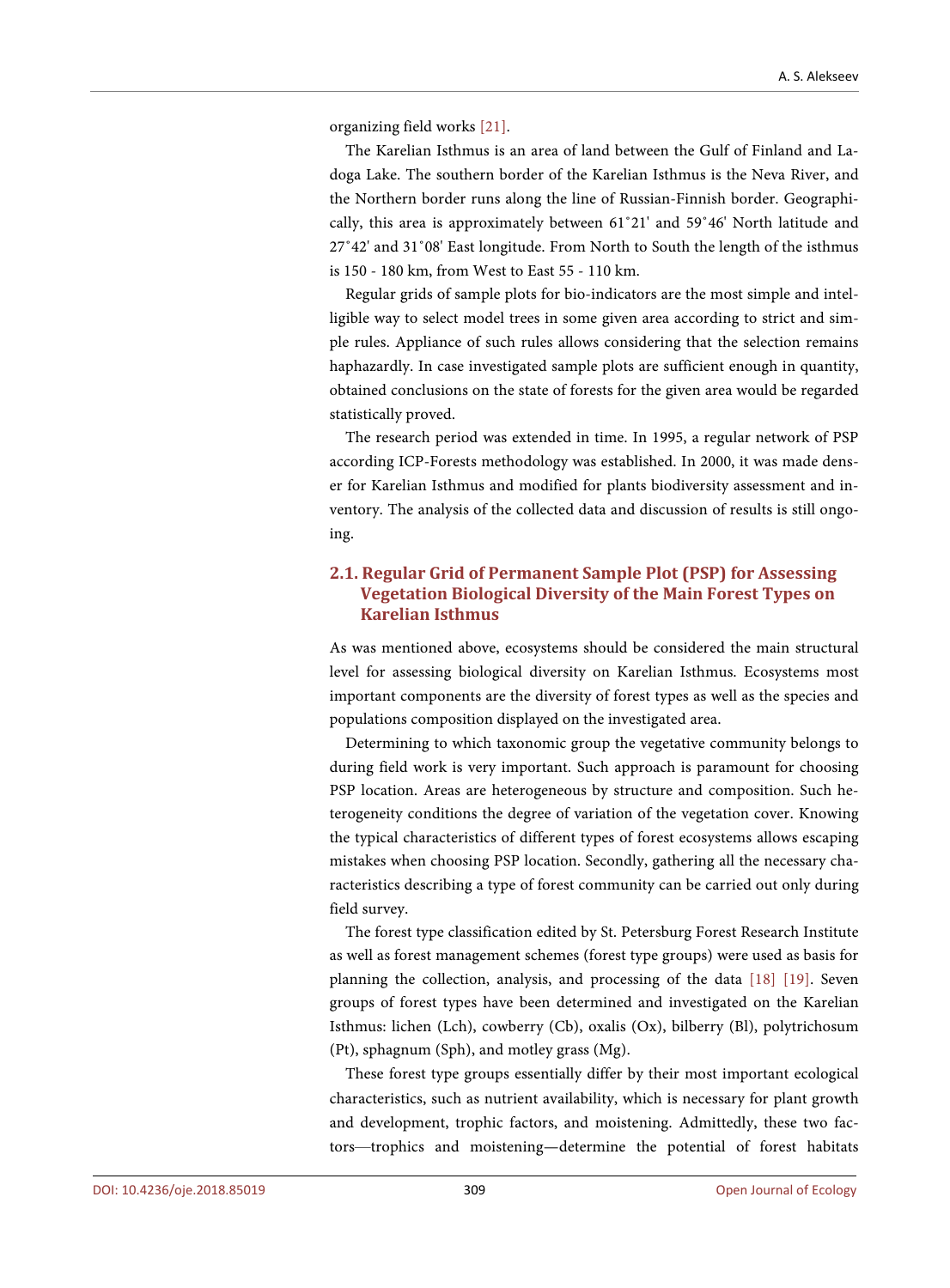organizing field works [\[21\].](#page-18-4)

The Karelian Isthmus is an area of land between the Gulf of Finland and Ladoga Lake. The southern border of the Karelian Isthmus is the Neva River, and the Northern border runs along the line of Russian-Finnish border. Geographically, this area is approximately between 61˚21' and 59˚46' North latitude and 27˚42' and 31˚08' East longitude. From North to South the length of the isthmus is 150 - 180 km, from West to East 55 - 110 km.

Regular grids of sample plots for bio-indicators are the most simple and intelligible way to select model trees in some given area according to strict and simple rules. Appliance of such rules allows considering that the selection remains haphazardly. In case investigated sample plots are sufficient enough in quantity, obtained conclusions on the state of forests for the given area would be regarded statistically proved.

The research period was extended in time. In 1995, a regular network of PSP according ICP-Forests methodology was established. In 2000, it was made denser for Karelian Isthmus and modified for plants biodiversity assessment and inventory. The analysis of the collected data and discussion of results is still ongoing.

# **2.1. Regular Grid of Permanent Sample Plot (PSP) for Assessing Vegetation Biological Diversity of the Main Forest Types on Karelian Isthmus**

As was mentioned above, ecosystems should be considered the main structural level for assessing biological diversity on Karelian Isthmus. Ecosystems most important components are the diversity of forest types as well as the species and populations composition displayed on the investigated area.

Determining to which taxonomic group the vegetative community belongs to during field work is very important. Such approach is paramount for choosing PSP location. Areas are heterogeneous by structure and composition. Such heterogeneity conditions the degree of variation of the vegetation cover. Knowing the typical characteristics of different types of forest ecosystems allows escaping mistakes when choosing PSP location. Secondly, gathering all the necessary characteristics describing a type of forest community can be carried out only during field survey.

The forest type classification edited by St. Petersburg Forest Research Institute as well as forest management schemes (forest type groups) were used as basis for planning the collection, analysis, and processing of the data [\[18\]](#page-17-12) [\[19\].](#page-18-2) Seven groups of forest types have been determined and investigated on the Karelian Isthmus: lichen (Lch), cowberry (Cb), oxalis (Ox), bilberry (Bl), polytrichosum (Pt), sphagnum (Sph), and motley grass (Mg).

These forest type groups essentially differ by their most important ecological characteristics, such as nutrient availability, which is necessary for plant growth and development, trophic factors, and moistening. Admittedly, these two factors—trophics and moistening—determine the potential of forest habitats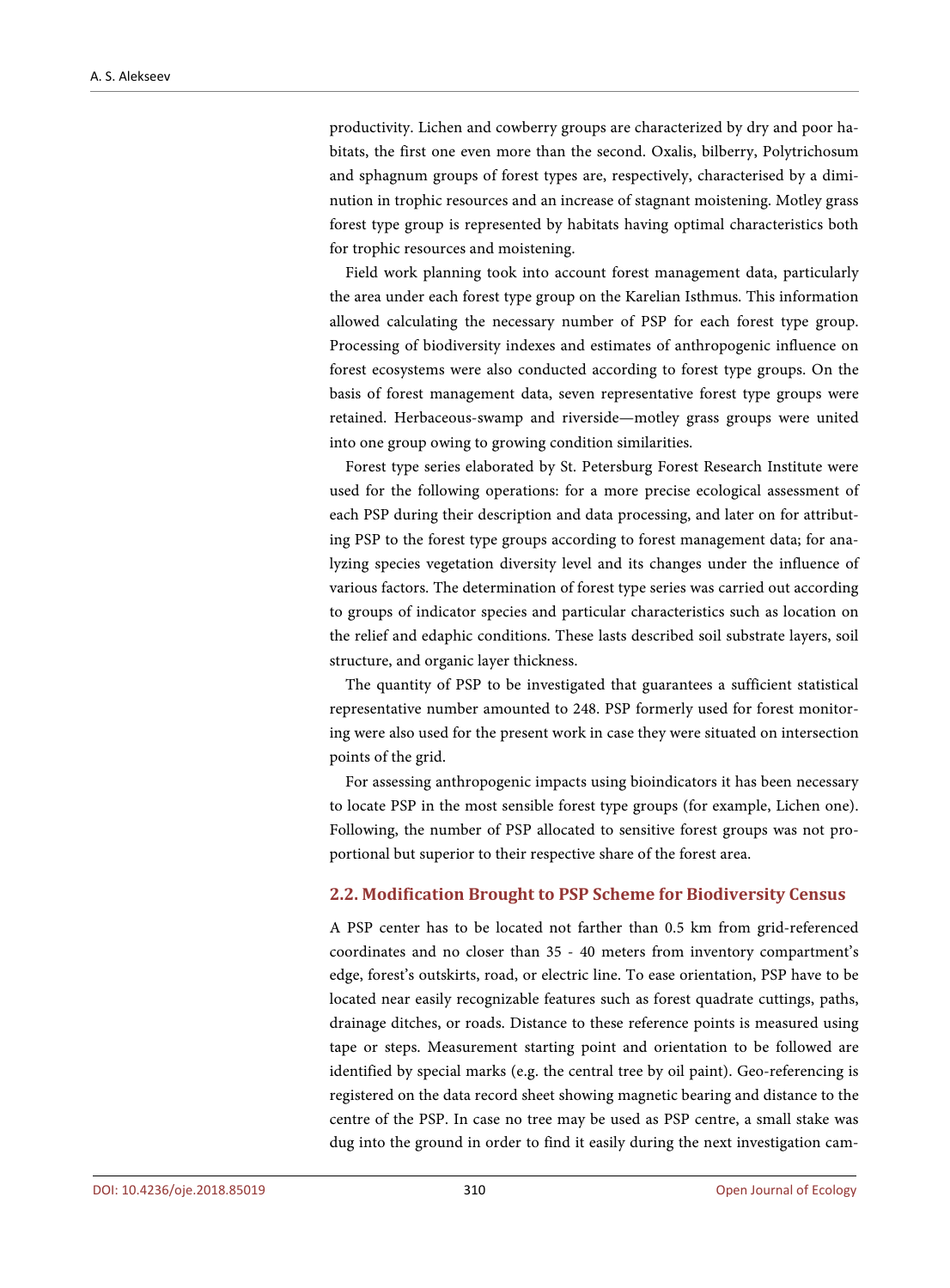productivity. Lichen and cowberry groups are characterized by dry and poor habitats, the first one even more than the second. Oxalis, bilberry, Polytrichosum and sphagnum groups of forest types are, respectively, characterised by a diminution in trophic resources and an increase of stagnant moistening. Motley grass forest type group is represented by habitats having optimal characteristics both for trophic resources and moistening.

Field work planning took into account forest management data, particularly the area under each forest type group on the Karelian Isthmus. This information allowed calculating the necessary number of PSP for each forest type group. Processing of biodiversity indexes and estimates of anthropogenic influence on forest ecosystems were also conducted according to forest type groups. On the basis of forest management data, seven representative forest type groups were retained. Herbaceous-swamp and riverside—motley grass groups were united into one group owing to growing condition similarities.

Forest type series elaborated by St. Petersburg Forest Research Institute were used for the following operations: for a more precise ecological assessment of each PSP during their description and data processing, and later on for attributing PSP to the forest type groups according to forest management data; for analyzing species vegetation diversity level and its changes under the influence of various factors. The determination of forest type series was carried out according to groups of indicator species and particular characteristics such as location on the relief and edaphic conditions. These lasts described soil substrate layers, soil structure, and organic layer thickness.

The quantity of PSP to be investigated that guarantees a sufficient statistical representative number amounted to 248. PSP formerly used for forest monitoring were also used for the present work in case they were situated on intersection points of the grid.

For assessing anthropogenic impacts using bioindicators it has been necessary to locate PSP in the most sensible forest type groups (for example, Lichen one). Following, the number of PSP allocated to sensitive forest groups was not proportional but superior to their respective share of the forest area.

### **2.2. Modification Brought to PSP Scheme for Biodiversity Census**

A PSP center has to be located not farther than 0.5 km from grid-referenced coordinates and no closer than 35 - 40 meters from inventory compartment's edge, forest's outskirts, road, or electric line. To ease orientation, PSP have to be located near easily recognizable features such as forest quadrate cuttings, paths, drainage ditches, or roads. Distance to these reference points is measured using tape or steps. Measurement starting point and orientation to be followed are identified by special marks (e.g. the central tree by oil paint). Geo-referencing is registered on the data record sheet showing magnetic bearing and distance to the centre of the PSP. In case no tree may be used as PSP centre, a small stake was dug into the ground in order to find it easily during the next investigation cam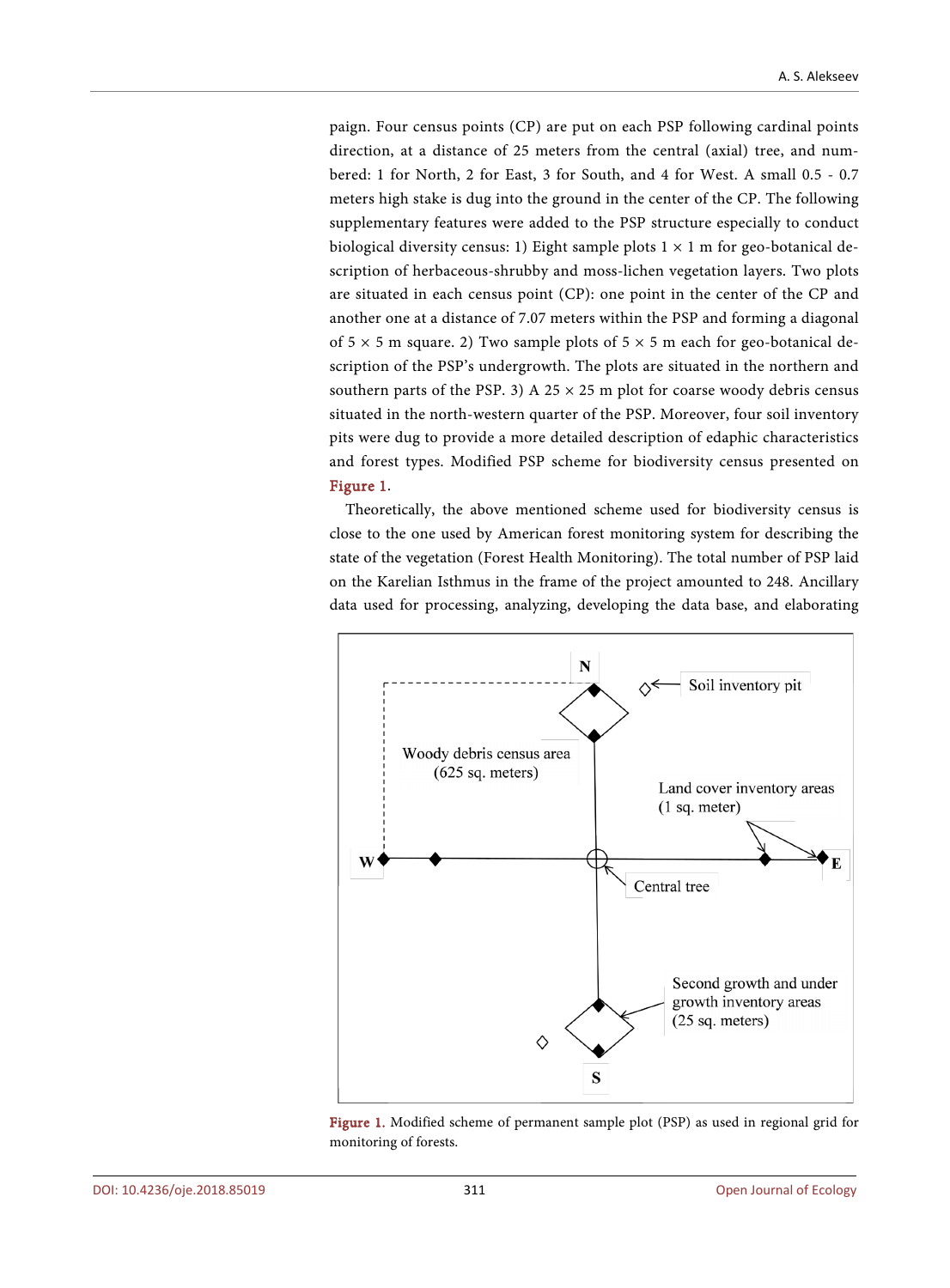paign. Four census points (CP) are put on each PSP following cardinal points direction, at a distance of 25 meters from the central (axial) tree, and numbered: 1 for North, 2 for East, 3 for South, and 4 for West. A small 0.5 - 0.7 meters high stake is dug into the ground in the center of the CP. The following supplementary features were added to the PSP structure especially to conduct biological diversity census: 1) Eight sample plots  $1 \times 1$  m for geo-botanical description of herbaceous-shrubby and moss-lichen vegetation layers. Two plots are situated in each census point (CP): one point in the center of the CP and another one at a distance of 7.07 meters within the PSP and forming a diagonal of  $5 \times 5$  m square. 2) Two sample plots of  $5 \times 5$  m each for geo-botanical description of the PSP's undergrowth. The plots are situated in the northern and southern parts of the PSP. 3) A 25  $\times$  25 m plot for coarse woody debris census situated in the north-western quarter of the PSP. Moreover, four soil inventory pits were dug to provide a more detailed description of edaphic characteristics and forest types. Modified PSP scheme for biodiversity census presented on [Figure 1.](#page-6-0)

Theoretically, the above mentioned scheme used for biodiversity census is close to the one used by American forest monitoring system for describing the state of the vegetation (Forest Health Monitoring). The total number of PSP laid on the Karelian Isthmus in the frame of the project amounted to 248. Ancillary data used for processing, analyzing, developing the data base, and elaborating

<span id="page-6-0"></span>

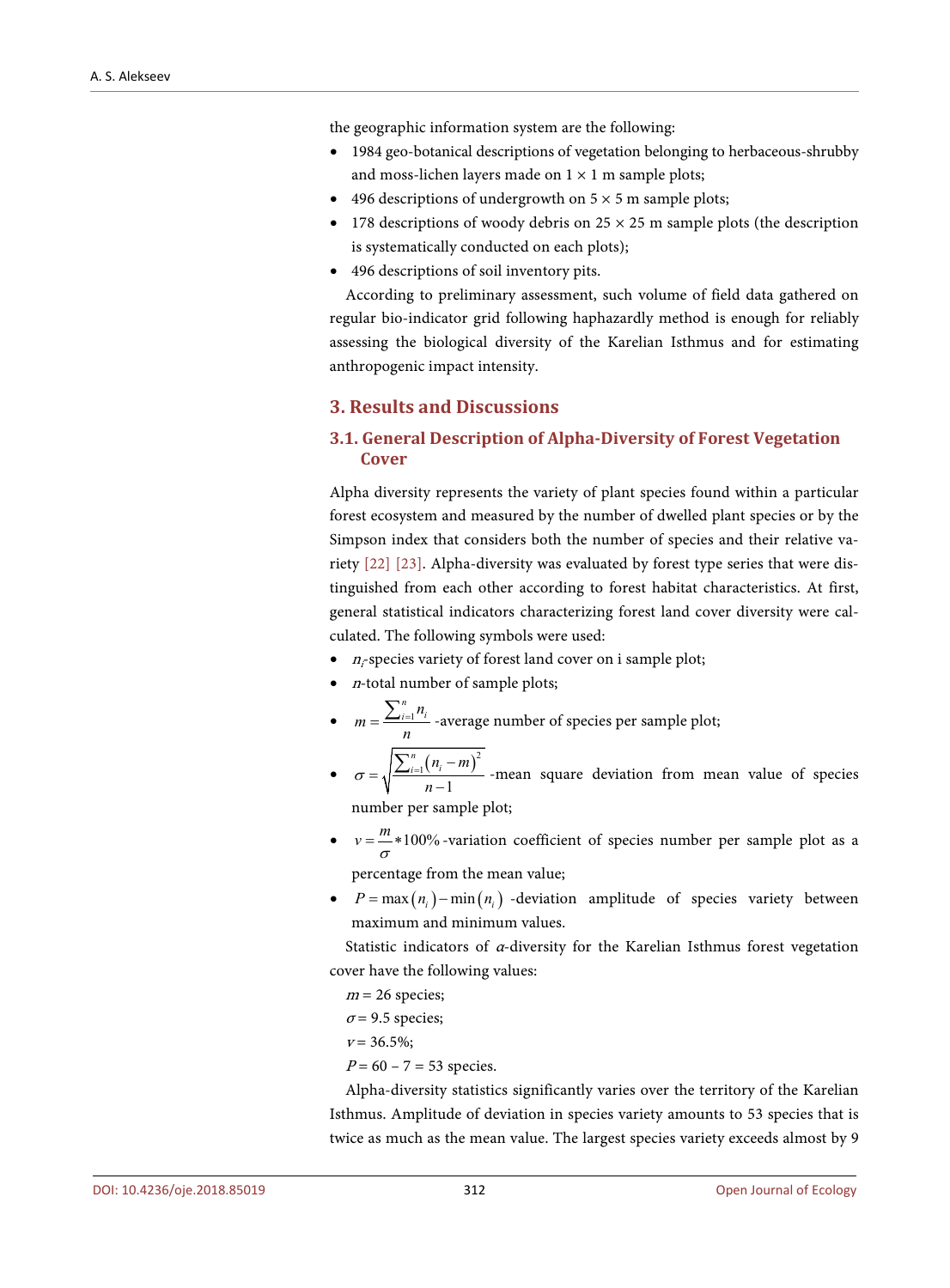the geographic information system are the following:

- 1984 geo-botanical descriptions of vegetation belonging to herbaceous-shrubby and moss-lichen layers made on  $1 \times 1$  m sample plots;
- 496 descriptions of undergrowth on  $5 \times 5$  m sample plots;
- 178 descriptions of woody debris on  $25 \times 25$  m sample plots (the description is systematically conducted on each plots);
- 496 descriptions of soil inventory pits.

According to preliminary assessment, such volume of field data gathered on regular bio-indicator grid following haphazardly method is enough for reliably assessing the biological diversity of the Karelian Isthmus and for estimating anthropogenic impact intensity.

### **3. Results and Discussions**

# **3.1. General Description of Alpha-Diversity of Forest Vegetation Cover**

Alpha diversity represents the variety of plant species found within a particular forest ecosystem and measured by the number of dwelled plant species or by the Simpson index that considers both the number of species and their relative variety [\[22\]](#page-18-5) [\[23\].](#page-18-6) Alpha-diversity was evaluated by forest type series that were distinguished from each other according to forest habitat characteristics. At first, general statistical indicators characterizing forest land cover diversity were calculated. The following symbols were used:

- $\bullet$  *n<sub>i</sub>*-species variety of forest land cover on i sample plot;
- $\bullet$  *n*-total number of sample plots;
- $\bullet$   $m = \frac{\sum_{i=1}^{n} x_i}{n!}$  $m = \frac{\sum_{i=1}^{n} n_i}{n}$  -average number of species per sample plot;
- $\sigma = \sqrt{\frac{\sum_{i=1}^{n}(n_i-m)^2}{n}}$ 1 1  $\sigma = \sqrt{\frac{\sum_{i=1}^{n} (n_i - m)^2}{n-1}}$  -mean square deviation from mean value of species

number per sample plot;

- $v = \frac{m}{\sigma} * 100\%$  *-variation coefficient of species number per sample plot as a* percentage from the mean value;
- $P = \max(n_i) \min(n_i)$  -deviation amplitude of species variety between maximum and minimum values.

Statistic indicators of α-diversity for the Karelian Isthmus forest vegetation cover have the following values:

 $m = 26$  species;

 $\sigma$  = 9.5 species;

- $v = 36.5\%;$
- $P = 60 7 = 53$  species.

Alpha-diversity statistics significantly varies over the territory of the Karelian Isthmus. Amplitude of deviation in species variety amounts to 53 species that is twice as much as the mean value. The largest species variety exceeds almost by 9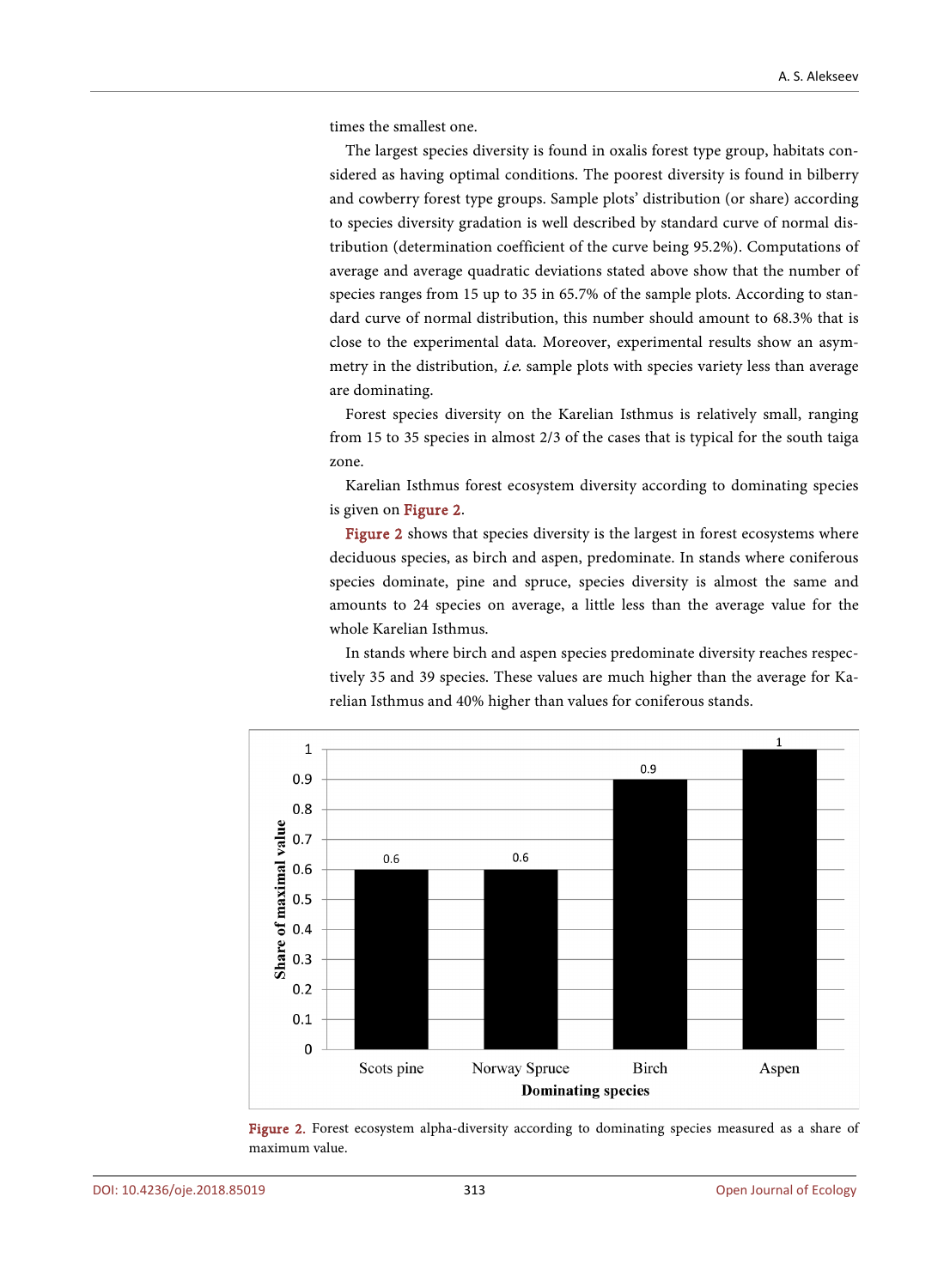times the smallest one.

The largest species diversity is found in oxalis forest type group, habitats considered as having optimal conditions. The poorest diversity is found in bilberry and cowberry forest type groups. Sample plots' distribution (or share) according to species diversity gradation is well described by standard curve of normal distribution (determination coefficient of the curve being 95.2%). Computations of average and average quadratic deviations stated above show that the number of species ranges from 15 up to 35 in 65.7% of the sample plots. According to standard curve of normal distribution, this number should amount to 68.3% that is close to the experimental data. Moreover, experimental results show an asymmetry in the distribution, *i.e.* sample plots with species variety less than average are dominating.

Forest species diversity on the Karelian Isthmus is relatively small, ranging from 15 to 35 species in almost 2/3 of the cases that is typical for the south taiga zone.

Karelian Isthmus forest ecosystem diversity according to dominating species is given on [Figure 2.](#page-8-0) 

[Figure 2](#page-8-0) shows that species diversity is the largest in forest ecosystems where deciduous species, as birch and aspen, predominate. In stands where coniferous species dominate, pine and spruce, species diversity is almost the same and amounts to 24 species on average, a little less than the average value for the whole Karelian Isthmus.

In stands where birch and aspen species predominate diversity reaches respectively 35 and 39 species. These values are much higher than the average for Karelian Isthmus and 40% higher than values for coniferous stands.

<span id="page-8-0"></span>

Figure 2. Forest ecosystem alpha-diversity according to dominating species measured as a share of maximum value.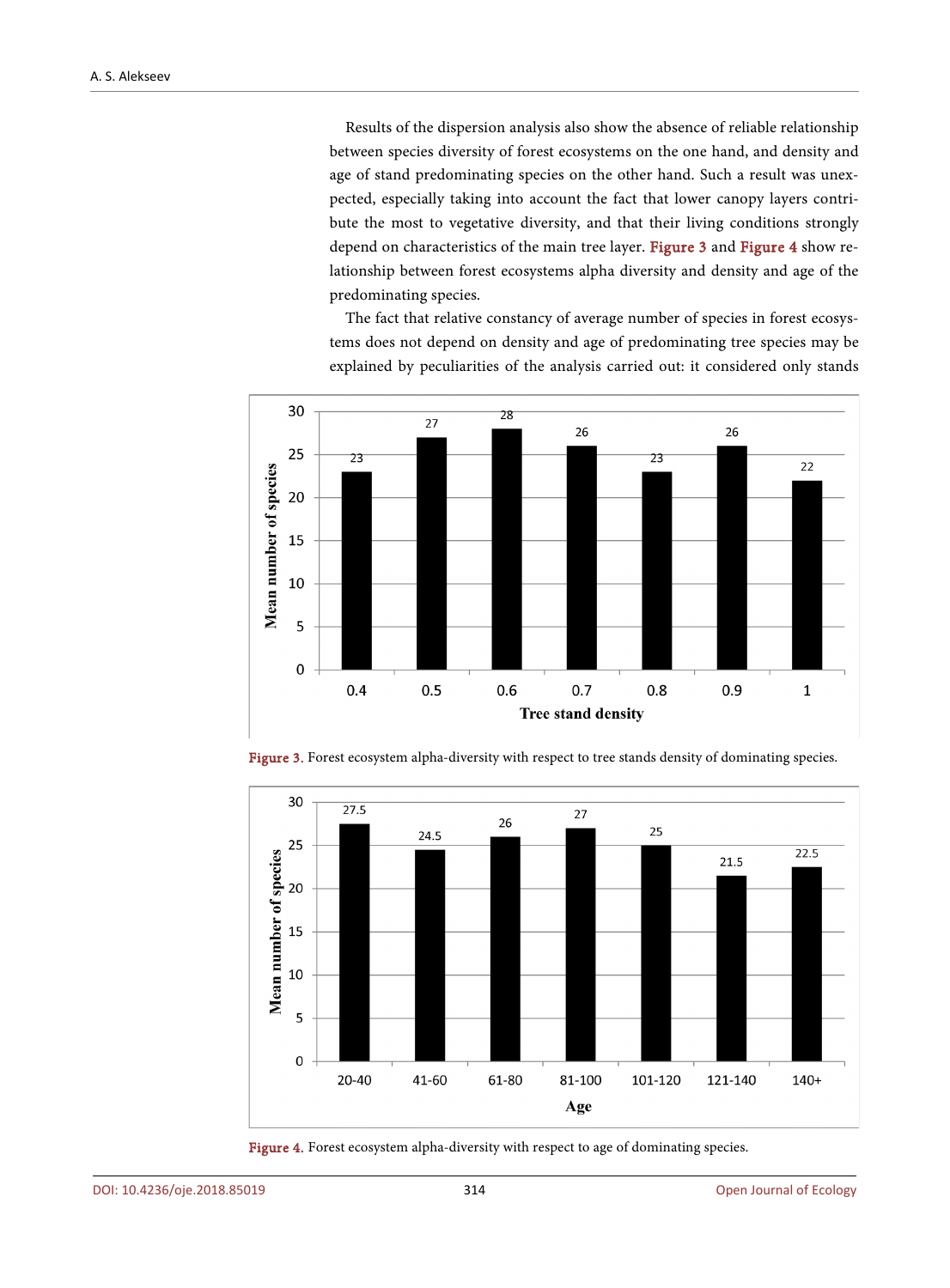Results of the dispersion analysis also show the absence of reliable relationship between species diversity of forest ecosystems on the one hand, and density and age of stand predominating species on the other hand. Such a result was unexpected, especially taking into account the fact that lower canopy layers contribute the most to vegetative diversity, and that their living conditions strongly depend on characteristics of the main tree layer. [Figure 3](#page-9-0) and [Figure 4](#page-9-1) show relationship between forest ecosystems alpha diversity and density and age of the predominating species.

The fact that relative constancy of average number of species in forest ecosystems does not depend on density and age of predominating tree species may be explained by peculiarities of the analysis carried out: it considered only stands

<span id="page-9-0"></span>

Figure 3. Forest ecosystem alpha-diversity with respect to tree stands density of dominating species.

<span id="page-9-1"></span>

Figure 4. Forest ecosystem alpha-diversity with respect to age of dominating species.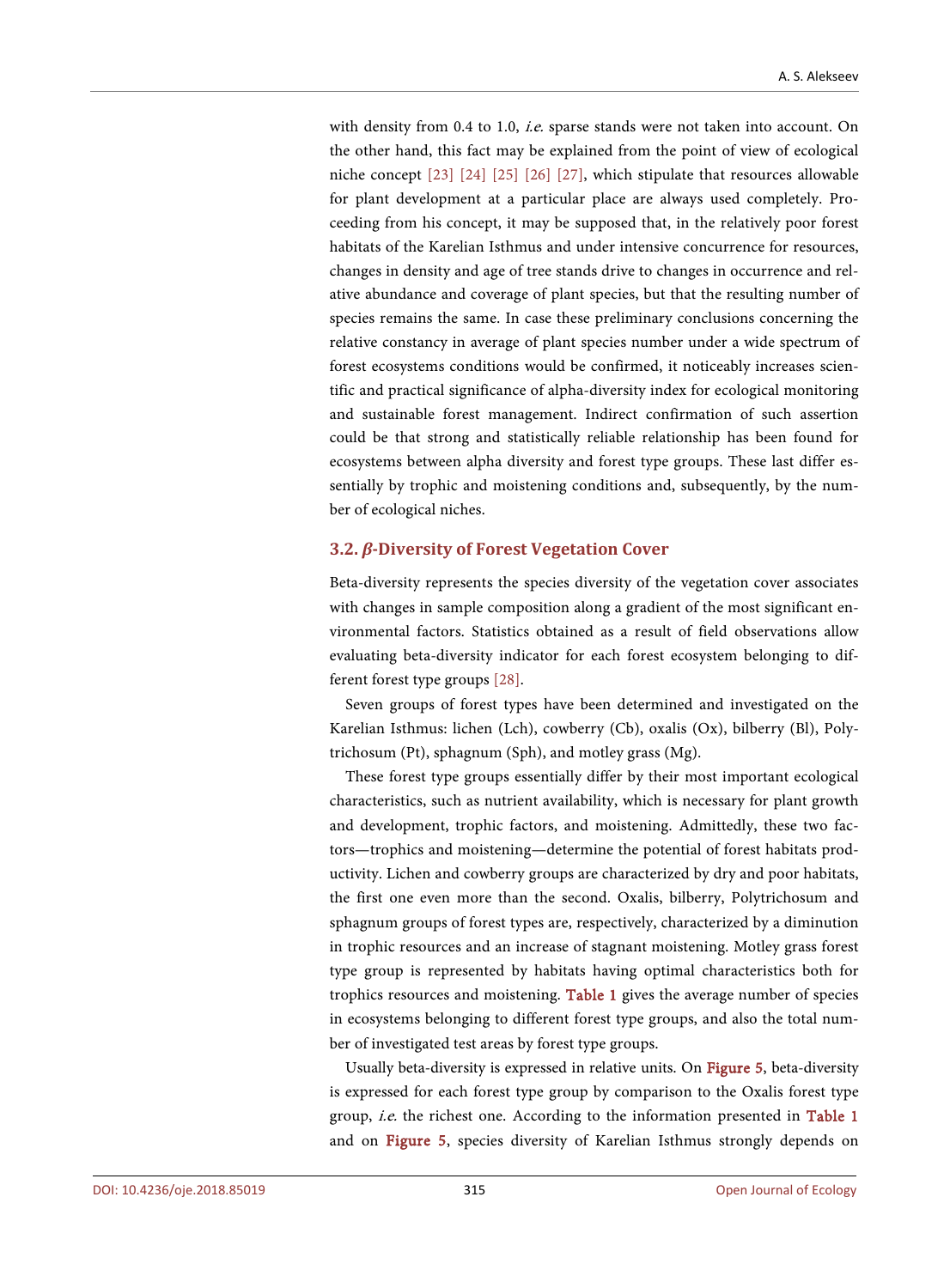with density from 0.4 to 1.0, *i.e.* sparse stands were not taken into account. On the other hand, this fact may be explained from the point of view of ecological niche concept [\[23\]](#page-18-6) [\[24\]](#page-18-7) [\[25\]](#page-18-8) [\[26\]](#page-18-9) [\[27\],](#page-18-10) which stipulate that resources allowable for plant development at a particular place are always used completely. Proceeding from his concept, it may be supposed that, in the relatively poor forest habitats of the Karelian Isthmus and under intensive concurrence for resources, changes in density and age of tree stands drive to changes in occurrence and relative abundance and coverage of plant species, but that the resulting number of species remains the same. In case these preliminary conclusions concerning the relative constancy in average of plant species number under a wide spectrum of forest ecosystems conditions would be confirmed, it noticeably increases scientific and practical significance of alpha-diversity index for ecological monitoring and sustainable forest management. Indirect confirmation of such assertion could be that strong and statistically reliable relationship has been found for ecosystems between alpha diversity and forest type groups. These last differ essentially by trophic and moistening conditions and, subsequently, by the number of ecological niches.

#### **3.2.** *β***-Diversity of Forest Vegetation Cover**

Beta-diversity represents the species diversity of the vegetation cover associates with changes in sample composition along a gradient of the most significant environmental factors. Statistics obtained as a result of field observations allow evaluating beta-diversity indicator for each forest ecosystem belonging to different forest type groups [\[28\].](#page-18-11)

Seven groups of forest types have been determined and investigated on the Karelian Isthmus: lichen (Lch), cowberry (Cb), oxalis (Ox), bilberry (Bl), Polytrichosum (Pt), sphagnum (Sph), and motley grass (Mg).

These forest type groups essentially differ by their most important ecological characteristics, such as nutrient availability, which is necessary for plant growth and development, trophic factors, and moistening. Admittedly, these two factors—trophics and moistening—determine the potential of forest habitats productivity. Lichen and cowberry groups are characterized by dry and poor habitats, the first one even more than the second. Oxalis, bilberry, Polytrichosum and sphagnum groups of forest types are, respectively, characterized by a diminution in trophic resources and an increase of stagnant moistening. Motley grass forest type group is represented by habitats having optimal characteristics both for trophics resources and moistening. [Table 1](#page-11-0) gives the average number of species in ecosystems belonging to different forest type groups, and also the total number of investigated test areas by forest type groups.

Usually beta-diversity is expressed in relative units. On [Figure 5,](#page-11-1) beta-diversity is expressed for each forest type group by comparison to the Oxalis forest type group, *i.e.* the richest one. According to the information presented in [Table 1](#page-11-0) and on [Figure 5,](#page-11-1) species diversity of Karelian Isthmus strongly depends on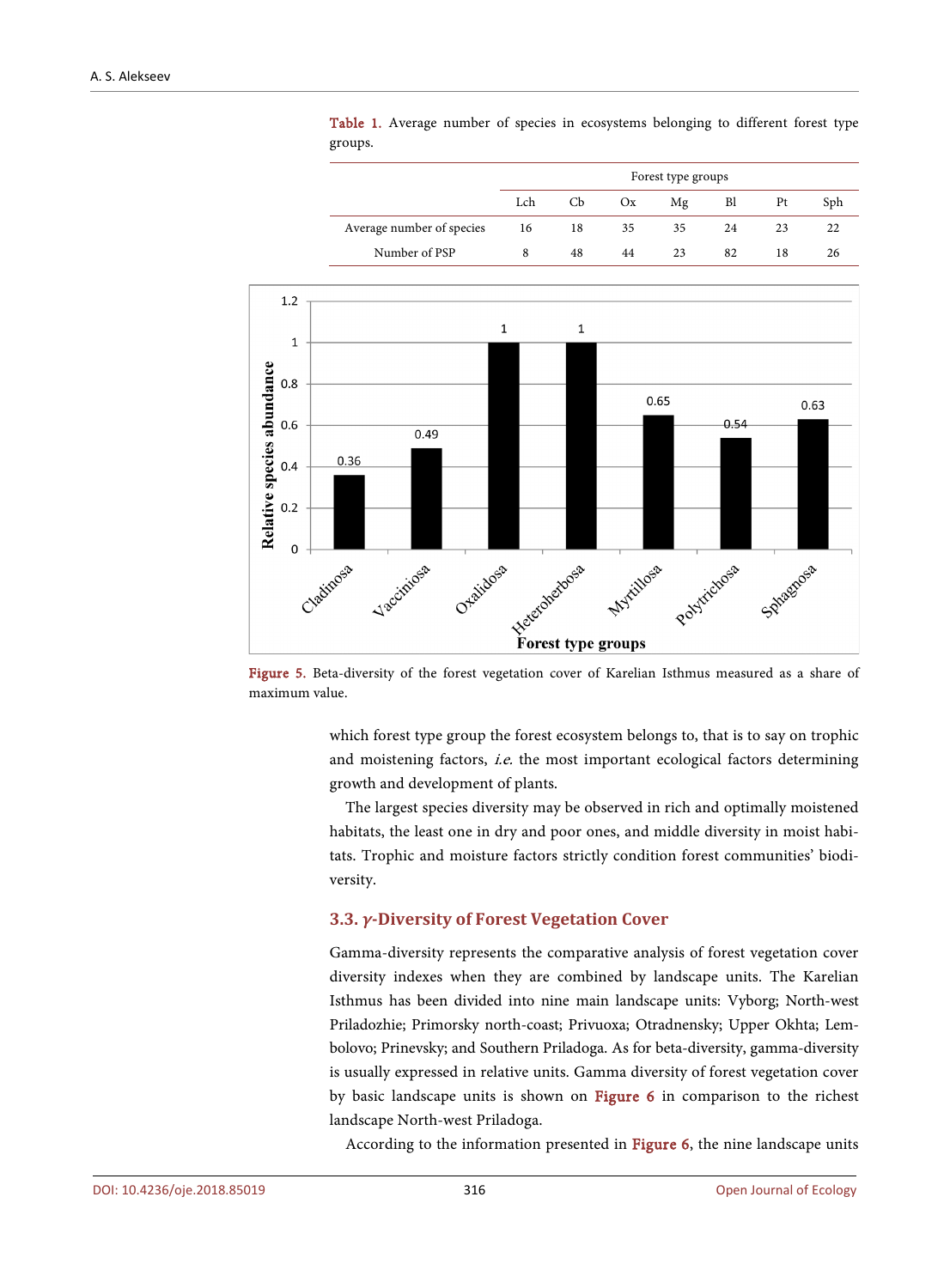|                           | Forest type groups |                |    |    |    |    |     |  |
|---------------------------|--------------------|----------------|----|----|----|----|-----|--|
|                           | Lch                | C <sub>b</sub> | Ox | Mg | Bl | Pt | Sph |  |
| Average number of species | 16                 | 18             | 35 | 35 | 24 | 23 | 22  |  |
| Number of PSP             | 8                  | 48             | 44 | 23 | 82 | 18 | 26  |  |

Table 1. Average number of species in ecosystems belonging to different forest type groups.

<span id="page-11-1"></span><span id="page-11-0"></span>

Figure 5. Beta-diversity of the forest vegetation cover of Karelian Isthmus measured as a share of maximum value.

which forest type group the forest ecosystem belongs to, that is to say on trophic and moistening factors, i.e. the most important ecological factors determining growth and development of plants.

The largest species diversity may be observed in rich and optimally moistened habitats, the least one in dry and poor ones, and middle diversity in moist habitats. Trophic and moisture factors strictly condition forest communities' biodiversity.

#### **3.3.** *γ***-Diversity of Forest Vegetation Cover**

Gamma-diversity represents the comparative analysis of forest vegetation cover diversity indexes when they are combined by landscape units. The Karelian Isthmus has been divided into nine main landscape units: Vyborg; North-west Priladozhie; Primorsky north-coast; Privuoxa; Otradnensky; Upper Okhta; Lembolovo; Prinevsky; and Southern Priladoga. As for beta-diversity, gamma-diversity is usually expressed in relative units. Gamma diversity of forest vegetation cover by basic landscape units is shown on [Figure 6](#page-12-0) in comparison to the richest landscape North-west Priladoga.

According to the information presented in [Figure 6,](#page-12-0) the nine landscape units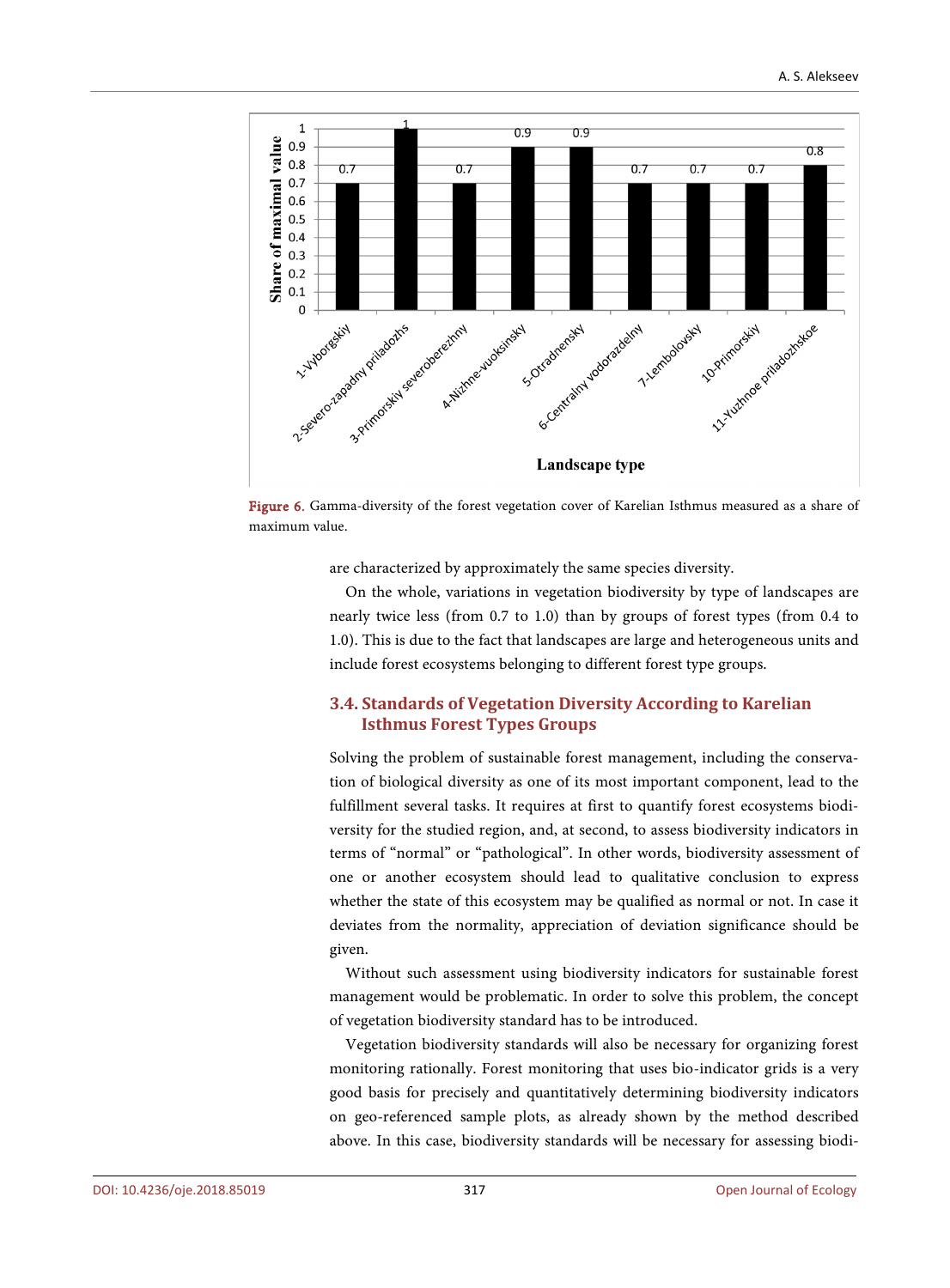<span id="page-12-0"></span>

Figure 6. Gamma-diversity of the forest vegetation cover of Karelian Isthmus measured as a share of maximum value.

are characterized by approximately the same species diversity.

On the whole, variations in vegetation biodiversity by type of landscapes are nearly twice less (from 0.7 to 1.0) than by groups of forest types (from 0.4 to 1.0). This is due to the fact that landscapes are large and heterogeneous units and include forest ecosystems belonging to different forest type groups.

# **3.4. Standards of Vegetation Diversity According to Karelian Isthmus Forest Types Groups**

Solving the problem of sustainable forest management, including the conservation of biological diversity as one of its most important component, lead to the fulfillment several tasks. It requires at first to quantify forest ecosystems biodiversity for the studied region, and, at second, to assess biodiversity indicators in terms of "normal" or "pathological". In other words, biodiversity assessment of one or another ecosystem should lead to qualitative conclusion to express whether the state of this ecosystem may be qualified as normal or not. In case it deviates from the normality, appreciation of deviation significance should be given.

Without such assessment using biodiversity indicators for sustainable forest management would be problematic. In order to solve this problem, the concept of vegetation biodiversity standard has to be introduced.

Vegetation biodiversity standards will also be necessary for organizing forest monitoring rationally. Forest monitoring that uses bio-indicator grids is a very good basis for precisely and quantitatively determining biodiversity indicators on geo-referenced sample plots, as already shown by the method described above. In this case, biodiversity standards will be necessary for assessing biodi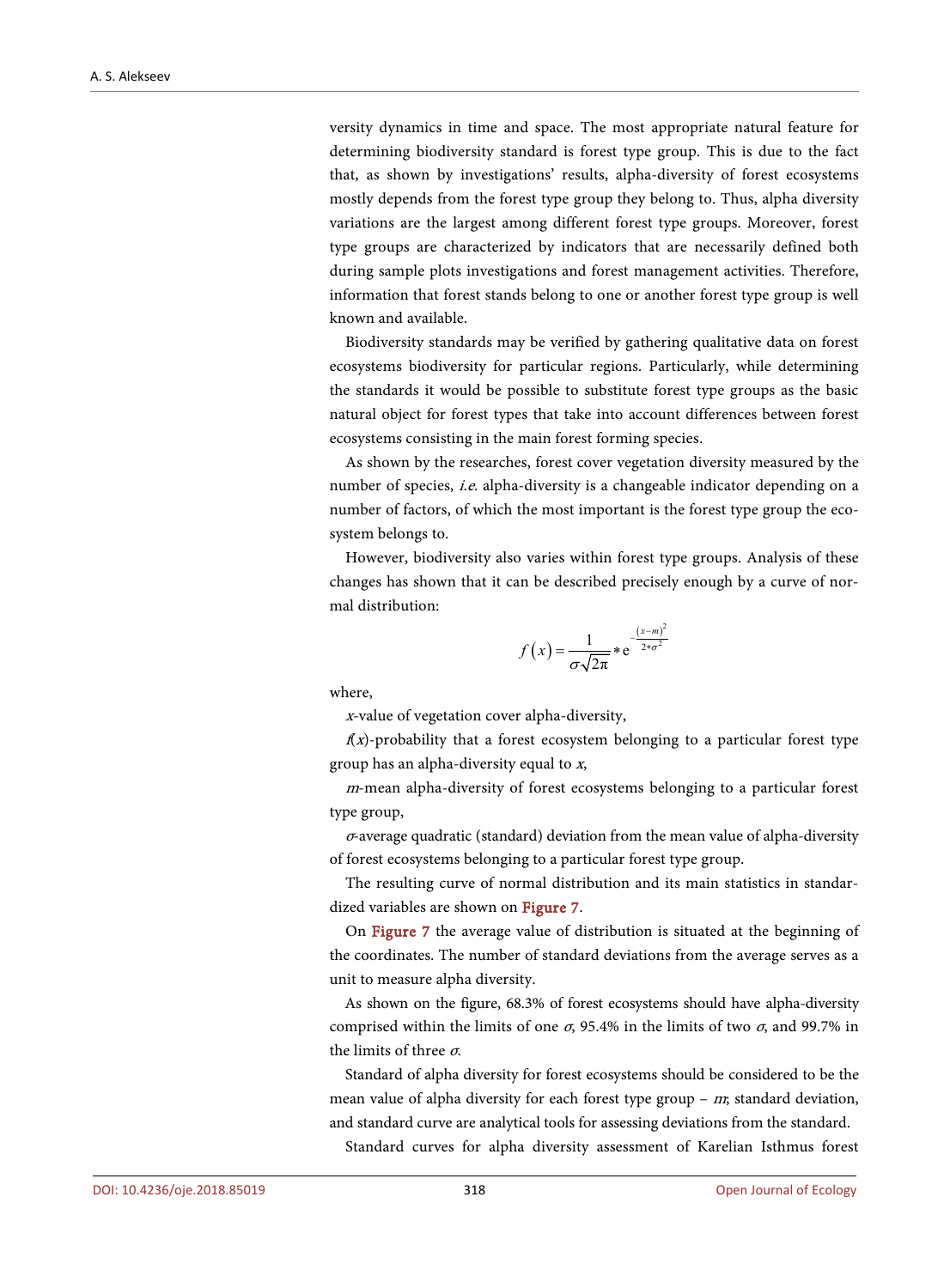versity dynamics in time and space. The most appropriate natural feature for determining biodiversity standard is forest type group. This is due to the fact that, as shown by investigations' results, alpha-diversity of forest ecosystems mostly depends from the forest type group they belong to. Thus, alpha diversity variations are the largest among different forest type groups. Moreover, forest type groups are characterized by indicators that are necessarily defined both during sample plots investigations and forest management activities. Therefore, information that forest stands belong to one or another forest type group is well known and available.

Biodiversity standards may be verified by gathering qualitative data on forest ecosystems biodiversity for particular regions. Particularly, while determining the standards it would be possible to substitute forest type groups as the basic natural object for forest types that take into account differences between forest ecosystems consisting in the main forest forming species.

As shown by the researches, forest cover vegetation diversity measured by the number of species, *i.e.* alpha-diversity is a changeable indicator depending on a number of factors, of which the most important is the forest type group the ecosystem belongs to.

However, biodiversity also varies within forest type groups. Analysis of these changes has shown that it can be described precisely enough by a curve of normal distribution:

$$
f(x) = \frac{1}{\sigma\sqrt{2\pi}} * e^{-\frac{(x-m)^2}{2*\sigma^2}}
$$

where,

<sup>x</sup>-value of vegetation cover alpha-diversity,

 $f(x)$ -probability that a forest ecosystem belonging to a particular forest type group has an alpha-diversity equal to x,

<sup>m</sup>-mean alpha-diversity of forest ecosystems belonging to a particular forest type group,

<sup>σ</sup>-average quadratic (standard) deviation from the mean value of alpha-diversity of forest ecosystems belonging to a particular forest type group.

The resulting curve of normal distribution and its main statistics in standardized variables are shown on [Figure 7.](#page-14-0)

On [Figure 7](#page-14-0) the average value of distribution is situated at the beginning of the coordinates. The number of standard deviations from the average serves as a unit to measure alpha diversity.

As shown on the figure, 68.3% of forest ecosystems should have alpha-diversity comprised within the limits of one  $\sigma$ , 95.4% in the limits of two  $\sigma$ , and 99.7% in the limits of three  $\sigma$ .

Standard of alpha diversity for forest ecosystems should be considered to be the mean value of alpha diversity for each forest type group –  $m$ ; standard deviation, and standard curve are analytical tools for assessing deviations from the standard.

Standard curves for alpha diversity assessment of Karelian Isthmus forest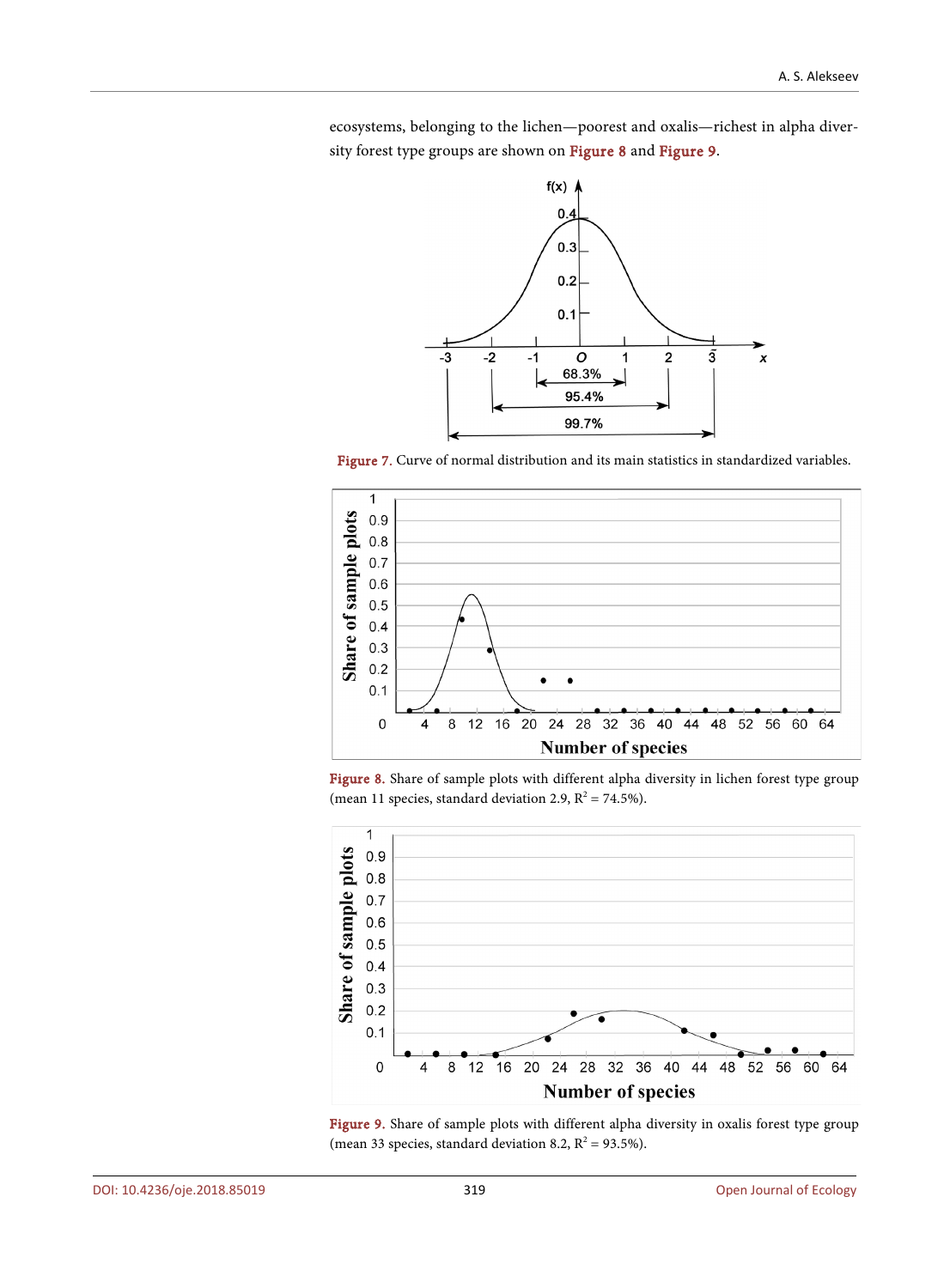<span id="page-14-0"></span>ecosystems, belonging to the lichen—poorest and oxalis—richest in alpha diversity forest type groups are shown on [Figure 8](#page-14-1) and [Figure 9.](#page-14-2)



Figure 7. Curve of normal distribution and its main statistics in standardized variables.

<span id="page-14-1"></span>

Figure 8. Share of sample plots with different alpha diversity in lichen forest type group (mean 11 species, standard deviation 2.9,  $R^2 = 74.5\%$ ).

<span id="page-14-2"></span>

Figure 9. Share of sample plots with different alpha diversity in oxalis forest type group (mean 33 species, standard deviation 8.2,  $R^2 = 93.5\%$ ).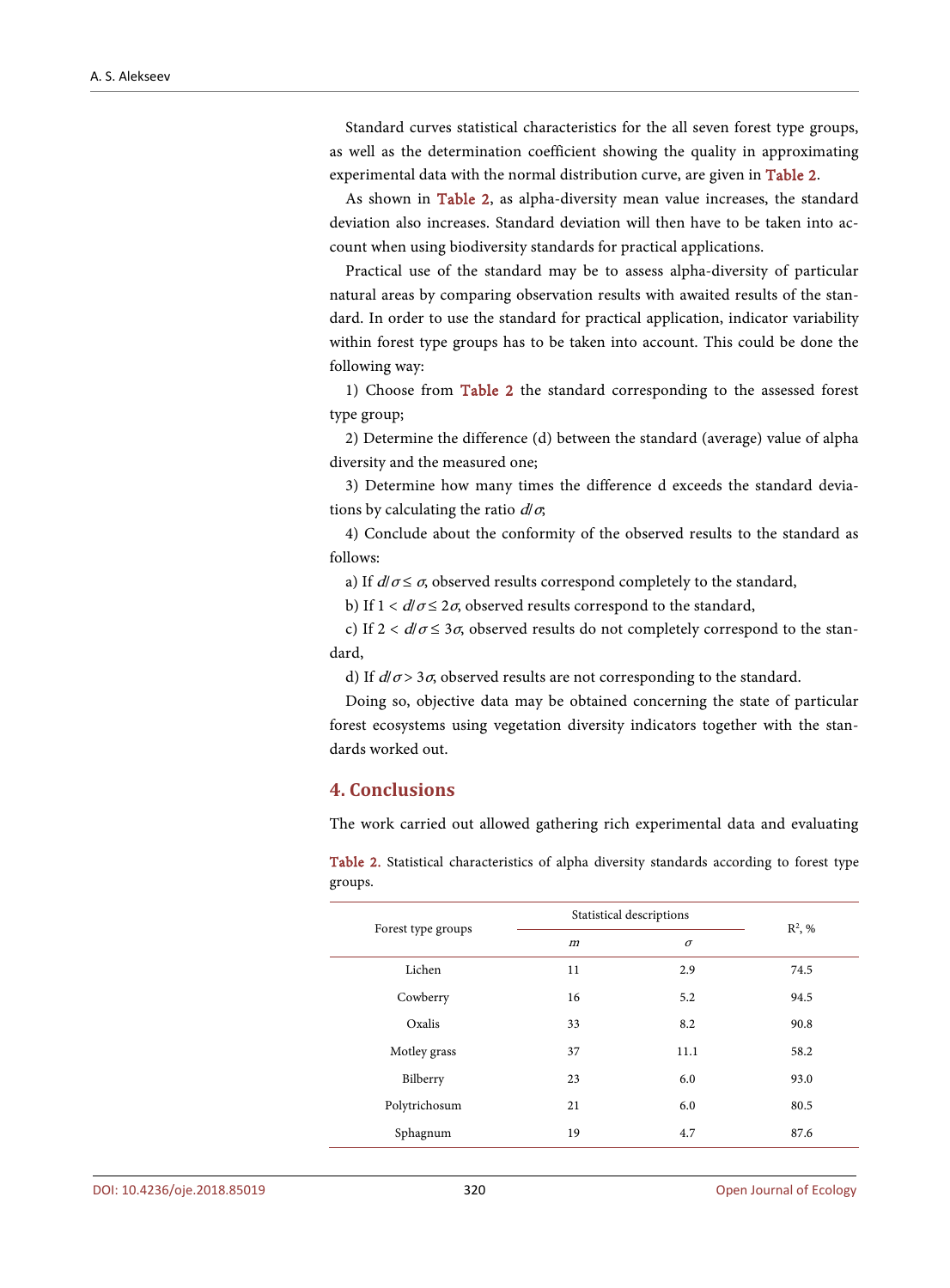Standard curves statistical characteristics for the all seven forest type groups, as well as the determination coefficient showing the quality in approximating experimental data with the normal distribution curve, are given in [Table 2.](#page-15-0)

As shown in [Table 2,](#page-15-0) as alpha-diversity mean value increases, the standard deviation also increases. Standard deviation will then have to be taken into account when using biodiversity standards for practical applications.

Practical use of the standard may be to assess alpha-diversity of particular natural areas by comparing observation results with awaited results of the standard. In order to use the standard for practical application, indicator variability within forest type groups has to be taken into account. This could be done the following way:

1) Choose from [Table 2](#page-15-0) the standard corresponding to the assessed forest type group;

2) Determine the difference (d) between the standard (average) value of alpha diversity and the measured one;

3) Determine how many times the difference d exceeds the standard deviations by calculating the ratio  $d/\sigma$ ;

4) Conclude about the conformity of the observed results to the standard as follows:

a) If  $d/\sigma \leq \sigma$ , observed results correspond completely to the standard,

b) If  $1 < d/\sigma \leq 2\sigma$ , observed results correspond to the standard,

c) If  $2 < d/\sigma \leq 3\sigma$ , observed results do not completely correspond to the standard,

d) If  $d/\sigma$  > 3 $\sigma$ , observed results are not corresponding to the standard.

Doing so, objective data may be obtained concerning the state of particular forest ecosystems using vegetation diversity indicators together with the standards worked out.

# **4. Conclusions**

The work carried out allowed gathering rich experimental data and evaluating

<span id="page-15-0"></span>Table 2. Statistical characteristics of alpha diversity standards according to forest type groups.

| Forest type groups | Statistical descriptions | $R^2$ , % |      |  |
|--------------------|--------------------------|-----------|------|--|
|                    | $\boldsymbol{m}$         | $\sigma$  |      |  |
| Lichen             | 11                       | 2.9       | 74.5 |  |
| Cowberry           | 16                       | 5.2       | 94.5 |  |
| Oxalis             | 33                       | 8.2       | 90.8 |  |
| Motley grass       | 37                       | 11.1      | 58.2 |  |
| Bilberry           | 23                       | 6.0       | 93.0 |  |
| Polytrichosum      | 21                       | 6.0       | 80.5 |  |
| Sphagnum           | 19                       | 4.7       | 87.6 |  |
|                    |                          |           |      |  |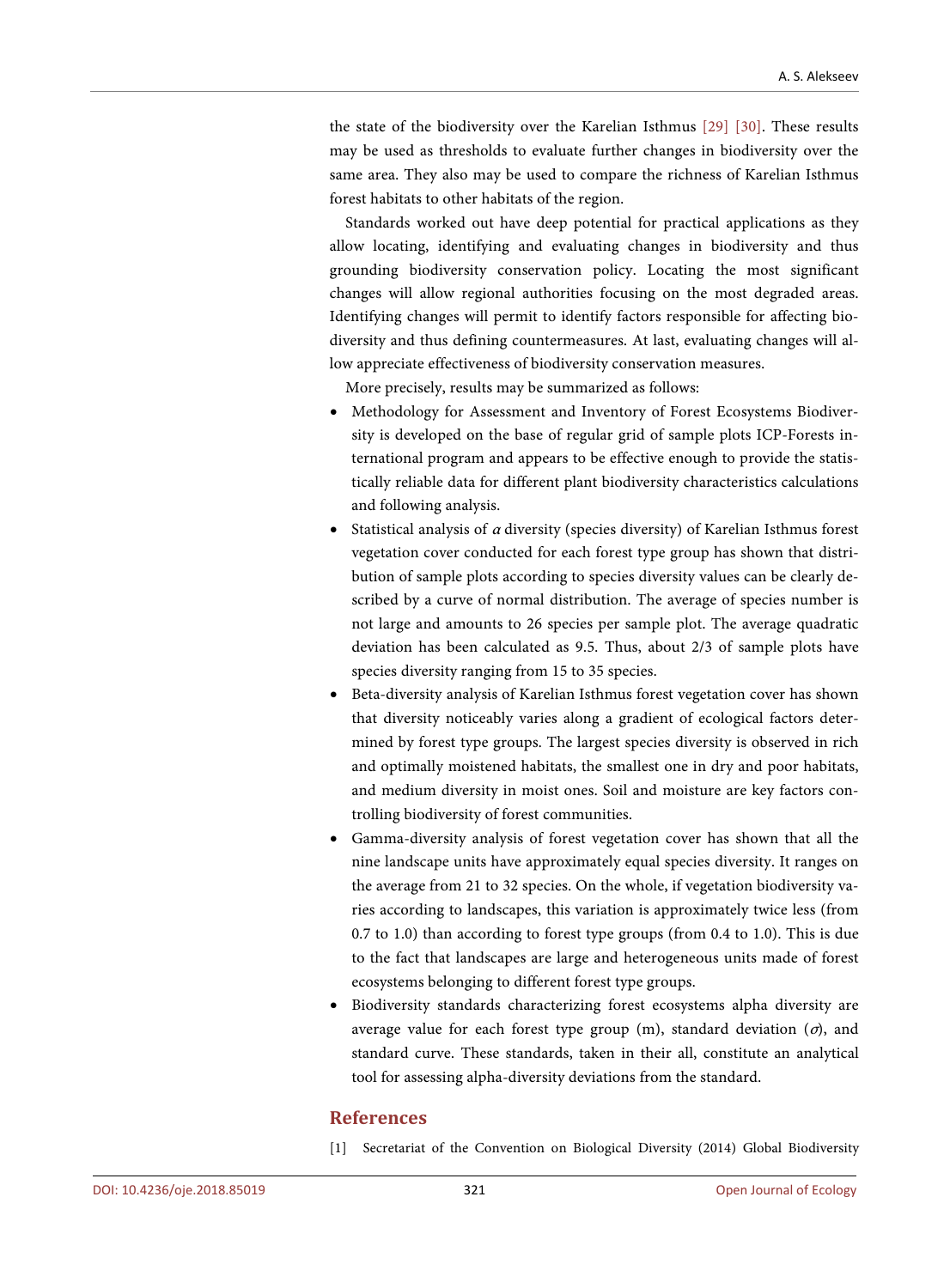the state of the biodiversity over the Karelian Isthmus [\[29\]](#page-18-0) [\[30\].](#page-18-1) These results may be used as thresholds to evaluate further changes in biodiversity over the same area. They also may be used to compare the richness of Karelian Isthmus forest habitats to other habitats of the region.

Standards worked out have deep potential for practical applications as they allow locating, identifying and evaluating changes in biodiversity and thus grounding biodiversity conservation policy. Locating the most significant changes will allow regional authorities focusing on the most degraded areas. Identifying changes will permit to identify factors responsible for affecting biodiversity and thus defining countermeasures. At last, evaluating changes will allow appreciate effectiveness of biodiversity conservation measures.

More precisely, results may be summarized as follows:

- Methodology for Assessment and Inventory of Forest Ecosystems Biodiversity is developed on the base of regular grid of sample plots ICP-Forests international program and appears to be effective enough to provide the statistically reliable data for different plant biodiversity characteristics calculations and following analysis.
- Statistical analysis of <sup>α</sup> diversity (species diversity) of Karelian Isthmus forest vegetation cover conducted for each forest type group has shown that distribution of sample plots according to species diversity values can be clearly described by a curve of normal distribution. The average of species number is not large and amounts to 26 species per sample plot. The average quadratic deviation has been calculated as 9.5. Thus, about 2/3 of sample plots have species diversity ranging from 15 to 35 species.
- Beta-diversity analysis of Karelian Isthmus forest vegetation cover has shown that diversity noticeably varies along a gradient of ecological factors determined by forest type groups. The largest species diversity is observed in rich and optimally moistened habitats, the smallest one in dry and poor habitats, and medium diversity in moist ones. Soil and moisture are key factors controlling biodiversity of forest communities.
- Gamma-diversity analysis of forest vegetation cover has shown that all the nine landscape units have approximately equal species diversity. It ranges on the average from 21 to 32 species. On the whole, if vegetation biodiversity varies according to landscapes, this variation is approximately twice less (from 0.7 to 1.0) than according to forest type groups (from 0.4 to 1.0). This is due to the fact that landscapes are large and heterogeneous units made of forest ecosystems belonging to different forest type groups.
- Biodiversity standards characterizing forest ecosystems alpha diversity are average value for each forest type group (m), standard deviation  $(\sigma)$ , and standard curve. These standards, taken in their all, constitute an analytical tool for assessing alpha-diversity deviations from the standard.

### **References**

<span id="page-16-0"></span>[1] Secretariat of the Convention on Biological Diversity (2014) Global Biodiversity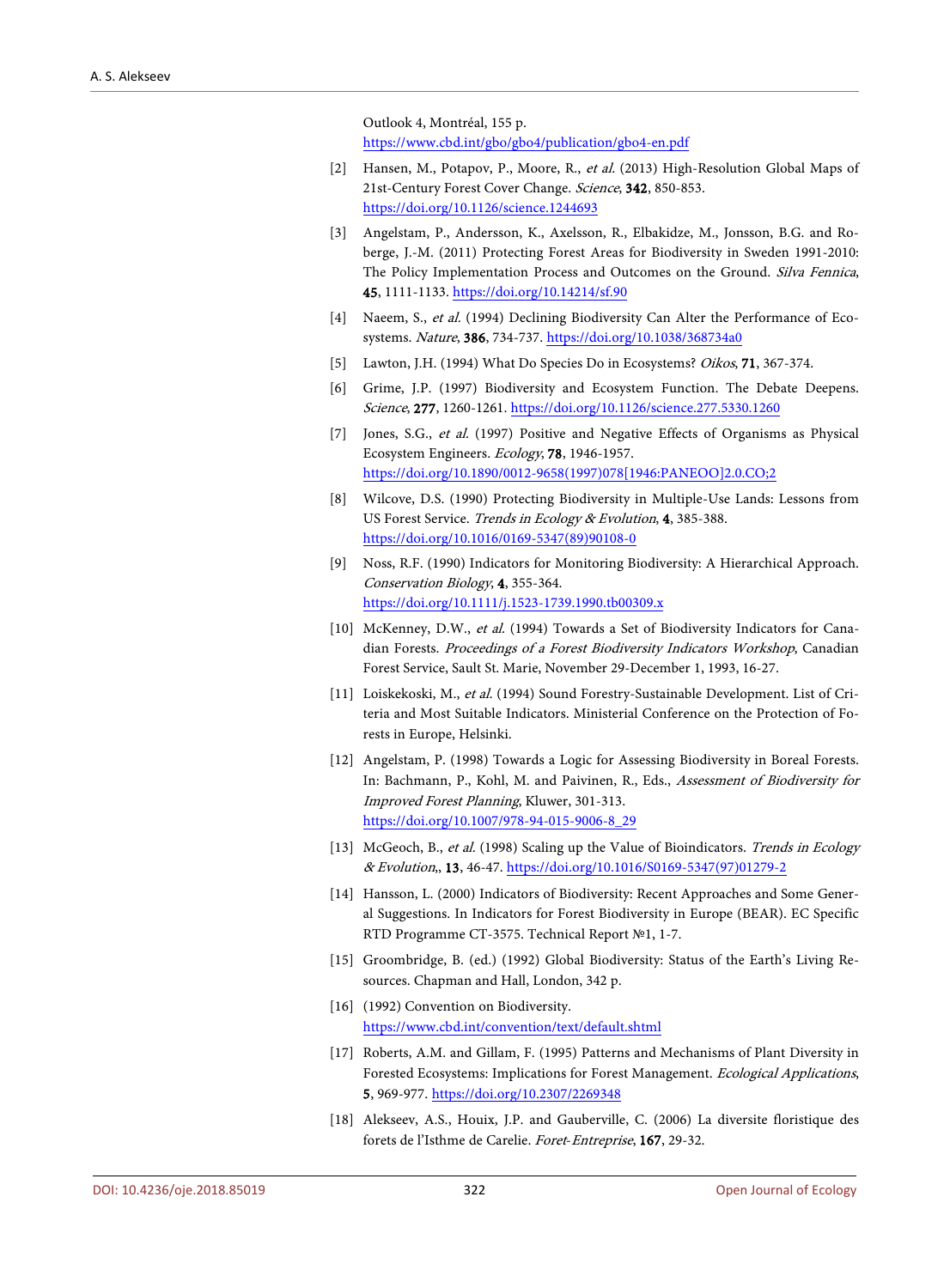Outlook 4, Montréal, 155 p. <https://www.cbd.int/gbo/gbo4/publication/gbo4-en.pdf>

- <span id="page-17-0"></span>[2] Hansen, M., Potapov, P., Moore, R., et al. (2013) High-Resolution Global Maps of 21st-Century Forest Cover Change. Science, 342, 850-853. <https://doi.org/10.1126/science.1244693>
- <span id="page-17-1"></span>[3] Angelstam, P., Andersson, K., Axelsson, R., Elbakidze, M., Jonsson, B.G. and Roberge, J.-M. (2011) Protecting Forest Areas for Biodiversity in Sweden 1991-2010: The Policy Implementation Process and Outcomes on the Ground. Silva Fennica, 45, 1111-1133.<https://doi.org/10.14214/sf.90>
- <span id="page-17-2"></span>[4] Naeem, S., et al. (1994) Declining Biodiversity Can Alter the Performance of Ecosystems. Nature, 386, 734-737. <https://doi.org/10.1038/368734a0>
- <span id="page-17-3"></span>[5] Lawton, J.H. (1994) What Do Species Do in Ecosystems? Oikos, **71**, 367-374.
- <span id="page-17-4"></span>[6] Grime, J.P. (1997) Biodiversity and Ecosystem Function. The Debate Deepens. Science, 277, 1260-1261[. https://doi.org/10.1126/science.277.5330.1260](https://doi.org/10.1126/science.277.5330.1260)
- <span id="page-17-5"></span>[7] Jones, S.G., et al. (1997) Positive and Negative Effects of Organisms as Physical Ecosystem Engineers. Ecology, 78, 1946-1957. [https://doi.org/10.1890/0012-9658\(1997\)078\[1946:PANEOO\]2.0.CO;2](https://doi.org/10.1890/0012-9658(1997)078%5b1946:PANEOO%5d2.0.CO;2)
- <span id="page-17-6"></span>[8] Wilcove, D.S. (1990) Protecting Biodiversity in Multiple-Use Lands: Lessons from US Forest Service. Trends in Ecology & Evolution, 4, 385-388. [https://doi.org/10.1016/0169-5347\(89\)90108-0](https://doi.org/10.1016/0169-5347(89)90108-0)
- <span id="page-17-7"></span>[9] Noss, R.F. (1990) Indicators for Monitoring Biodiversity: A Hierarchical Approach. Conservation Biology, 4, 355-364. <https://doi.org/10.1111/j.1523-1739.1990.tb00309.x>
- [10] McKenney, D.W., et al. (1994) Towards a Set of Biodiversity Indicators for Canadian Forests. Proceedings of a Forest Biodiversity Indicators Workshop, Canadian Forest Service, Sault St. Marie, November 29-December 1, 1993, 16-27.
- [11] Loiskekoski, M., et al. (1994) Sound Forestry-Sustainable Development. List of Criteria and Most Suitable Indicators. Ministerial Conference on the Protection of Forests in Europe, Helsinki.
- [12] Angelstam, P. (1998) Towards a Logic for Assessing Biodiversity in Boreal Forests. In: Bachmann, P., Kohl, M. and Paivinen, R., Eds., Assessment of Biodiversity for Improved Forest Planning, Kluwer, 301-313. [https://doi.org/10.1007/978-94-015-9006-8\\_29](https://doi.org/10.1007/978-94-015-9006-8_29)
- [13] McGeoch, B., et al. (1998) Scaling up the Value of Bioindicators. Trends in Ecology & Evolution,, 13, 46-47. [https://doi.org/10.1016/S0169-5347\(97\)01279-2](https://doi.org/10.1016/S0169-5347(97)01279-2)
- <span id="page-17-8"></span>[14] Hansson, L. (2000) Indicators of Biodiversity: Recent Approaches and Some General Suggestions. In Indicators for Forest Biodiversity in Europe (BEAR). EC Specific RTD Programme CT-3575. Technical Report №1, 1-7.
- <span id="page-17-9"></span>[15] Groombridge, B. (ed.) (1992) Global Biodiversity: Status of the Earth's Living Resources. Chapman and Hall, London, 342 p.
- <span id="page-17-10"></span>[16] (1992) Convention on Biodiversity. <https://www.cbd.int/convention/text/default.shtml>
- <span id="page-17-11"></span>[17] Roberts, A.M. and Gillam, F. (1995) Patterns and Mechanisms of Plant Diversity in Forested Ecosystems: Implications for Forest Management. Ecological Applications, 5, 969-977. <https://doi.org/10.2307/2269348>
- <span id="page-17-12"></span>[18] Alekseev, A.S., Houix, J.P. and Gauberville, C. (2006) La diversite floristique des forets de l'Isthme de Carelie. Foret-Entreprise, 167, 29-32.